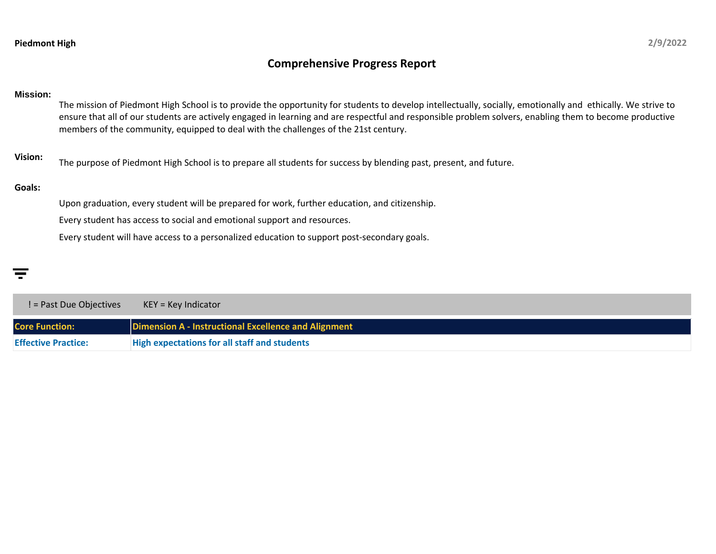## **Comprehensive Progress Report**

## **Mission:**

The mission of Piedmont High School is to provide the opportunity for students to develop intellectually, socially, emotionally and ethically. We strive to ensure that all of our students are actively engaged in learning and are respectful and responsible problem solvers, enabling them to become productive members of the community, equipped to deal with the challenges of the 21st century.

**Vision:** The purpose of Piedmont High School is to prepare all students for success by blending past, present, and future.

## **Goals:**

Upon graduation, every student will be prepared for work, further education, and citizenship.

Every student has access to social and emotional support and resources.

Every student will have access to a personalized education to support post-secondary goals.

**Core Function: Dimension A - Instructional Excellence and Alignment Effective Practice: High expectations for all staff and students** ! = Past Due Objectives KEY = Key Indicator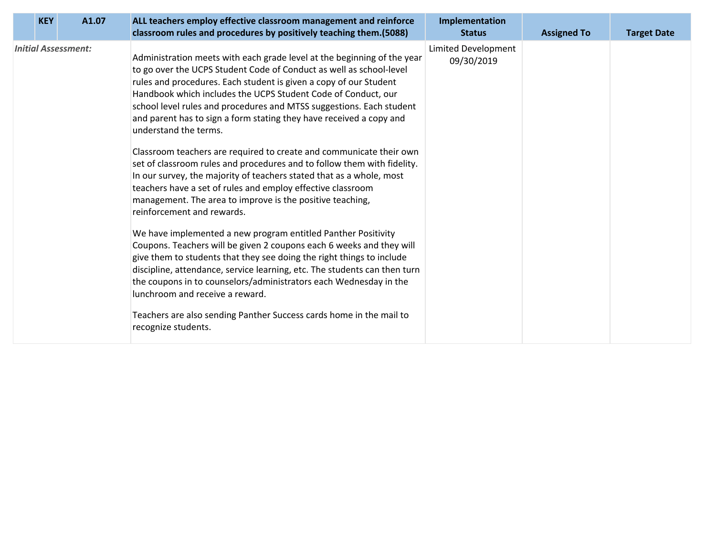|                                                                                                                                                                                                                                                                                                                                                                                                                                                                                                                                                                                                                                                                                                                                                                                                                                                                                                                                                                                                                                                                                                                                                                                                                                                                                                                                                                                     | <b>Limited Development</b> |  |
|-------------------------------------------------------------------------------------------------------------------------------------------------------------------------------------------------------------------------------------------------------------------------------------------------------------------------------------------------------------------------------------------------------------------------------------------------------------------------------------------------------------------------------------------------------------------------------------------------------------------------------------------------------------------------------------------------------------------------------------------------------------------------------------------------------------------------------------------------------------------------------------------------------------------------------------------------------------------------------------------------------------------------------------------------------------------------------------------------------------------------------------------------------------------------------------------------------------------------------------------------------------------------------------------------------------------------------------------------------------------------------------|----------------------------|--|
| <b>Initial Assessment:</b><br>Administration meets with each grade level at the beginning of the year<br>to go over the UCPS Student Code of Conduct as well as school-level<br>rules and procedures. Each student is given a copy of our Student<br>Handbook which includes the UCPS Student Code of Conduct, our<br>school level rules and procedures and MTSS suggestions. Each student<br>and parent has to sign a form stating they have received a copy and<br>understand the terms.<br>Classroom teachers are required to create and communicate their own<br>set of classroom rules and procedures and to follow them with fidelity.<br>In our survey, the majority of teachers stated that as a whole, most<br>teachers have a set of rules and employ effective classroom<br>management. The area to improve is the positive teaching,<br>reinforcement and rewards.<br>We have implemented a new program entitled Panther Positivity<br>Coupons. Teachers will be given 2 coupons each 6 weeks and they will<br>give them to students that they see doing the right things to include<br>discipline, attendance, service learning, etc. The students can then turn<br>the coupons in to counselors/administrators each Wednesday in the<br>lunchroom and receive a reward.<br>Teachers are also sending Panther Success cards home in the mail to<br>recognize students. | 09/30/2019                 |  |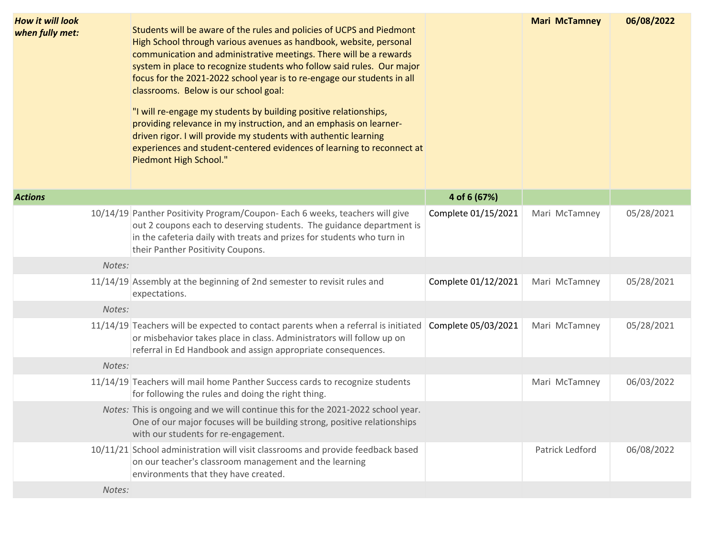| <b>How it will look</b><br>when fully met: |        | Students will be aware of the rules and policies of UCPS and Piedmont<br>High School through various avenues as handbook, website, personal<br>communication and administrative meetings. There will be a rewards<br>system in place to recognize students who follow said rules. Our major<br>focus for the 2021-2022 school year is to re-engage our students in all<br>classrooms. Below is our school goal:<br>"I will re-engage my students by building positive relationships,<br>providing relevance in my instruction, and an emphasis on learner-<br>driven rigor. I will provide my students with authentic learning<br>experiences and student-centered evidences of learning to reconnect at<br>Piedmont High School." |                     | <b>Mari McTamney</b> | 06/08/2022 |
|--------------------------------------------|--------|------------------------------------------------------------------------------------------------------------------------------------------------------------------------------------------------------------------------------------------------------------------------------------------------------------------------------------------------------------------------------------------------------------------------------------------------------------------------------------------------------------------------------------------------------------------------------------------------------------------------------------------------------------------------------------------------------------------------------------|---------------------|----------------------|------------|
| <b>Actions</b>                             |        |                                                                                                                                                                                                                                                                                                                                                                                                                                                                                                                                                                                                                                                                                                                                    | 4 of 6 (67%)        |                      |            |
|                                            |        | 10/14/19 Panther Positivity Program/Coupon-Each 6 weeks, teachers will give<br>out 2 coupons each to deserving students. The guidance department is<br>in the cafeteria daily with treats and prizes for students who turn in<br>their Panther Positivity Coupons.                                                                                                                                                                                                                                                                                                                                                                                                                                                                 | Complete 01/15/2021 | Mari McTamney        | 05/28/2021 |
|                                            | Notes: |                                                                                                                                                                                                                                                                                                                                                                                                                                                                                                                                                                                                                                                                                                                                    |                     |                      |            |
|                                            |        | 11/14/19 Assembly at the beginning of 2nd semester to revisit rules and<br>expectations.                                                                                                                                                                                                                                                                                                                                                                                                                                                                                                                                                                                                                                           | Complete 01/12/2021 | Mari McTamney        | 05/28/2021 |
|                                            | Notes: |                                                                                                                                                                                                                                                                                                                                                                                                                                                                                                                                                                                                                                                                                                                                    |                     |                      |            |
|                                            |        | 11/14/19 Teachers will be expected to contact parents when a referral is initiated<br>or misbehavior takes place in class. Administrators will follow up on<br>referral in Ed Handbook and assign appropriate consequences.                                                                                                                                                                                                                                                                                                                                                                                                                                                                                                        | Complete 05/03/2021 | Mari McTamney        | 05/28/2021 |
|                                            | Notes: |                                                                                                                                                                                                                                                                                                                                                                                                                                                                                                                                                                                                                                                                                                                                    |                     |                      |            |
|                                            |        | 11/14/19 Teachers will mail home Panther Success cards to recognize students<br>for following the rules and doing the right thing.                                                                                                                                                                                                                                                                                                                                                                                                                                                                                                                                                                                                 |                     | Mari McTamney        | 06/03/2022 |
|                                            |        | Notes: This is ongoing and we will continue this for the 2021-2022 school year.<br>One of our major focuses will be building strong, positive relationships<br>with our students for re-engagement.                                                                                                                                                                                                                                                                                                                                                                                                                                                                                                                                |                     |                      |            |
|                                            |        | 10/11/21 School administration will visit classrooms and provide feedback based<br>on our teacher's classroom management and the learning<br>environments that they have created.                                                                                                                                                                                                                                                                                                                                                                                                                                                                                                                                                  |                     | Patrick Ledford      | 06/08/2022 |
|                                            | Notes: |                                                                                                                                                                                                                                                                                                                                                                                                                                                                                                                                                                                                                                                                                                                                    |                     |                      |            |
|                                            |        |                                                                                                                                                                                                                                                                                                                                                                                                                                                                                                                                                                                                                                                                                                                                    |                     |                      |            |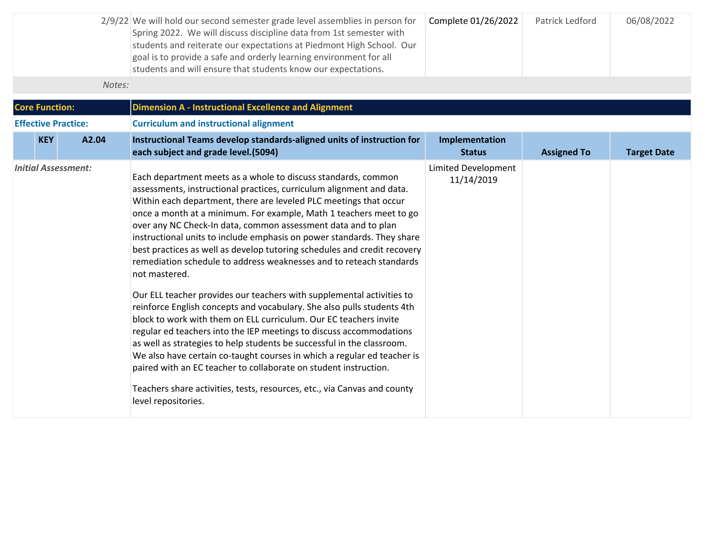|        | 2/9/22 We will hold our second semester grade level assemblies in person for<br>Spring 2022. We will discuss discipline data from 1st semester with<br>students and reiterate our expectations at Piedmont High School. Our<br>goal is to provide a safe and orderly learning environment for all<br>students and will ensure that students know our expectations. | Complete 01/26/2022 | Patrick Ledford | 06/08/2022 |
|--------|--------------------------------------------------------------------------------------------------------------------------------------------------------------------------------------------------------------------------------------------------------------------------------------------------------------------------------------------------------------------|---------------------|-----------------|------------|
| Notes: |                                                                                                                                                                                                                                                                                                                                                                    |                     |                 |            |

| <b>Core Function:</b><br><b>Dimension A - Instructional Excellence and Alignment</b> |                            |       |                                                                                                                                                                                                                                                                                                                                                                                                                                                                                                                                                                                                                                                                                                                                                                                                                                                                                                                                                                                                                                                                                                                                                                                                                            |                                          |                    |                    |
|--------------------------------------------------------------------------------------|----------------------------|-------|----------------------------------------------------------------------------------------------------------------------------------------------------------------------------------------------------------------------------------------------------------------------------------------------------------------------------------------------------------------------------------------------------------------------------------------------------------------------------------------------------------------------------------------------------------------------------------------------------------------------------------------------------------------------------------------------------------------------------------------------------------------------------------------------------------------------------------------------------------------------------------------------------------------------------------------------------------------------------------------------------------------------------------------------------------------------------------------------------------------------------------------------------------------------------------------------------------------------------|------------------------------------------|--------------------|--------------------|
|                                                                                      | <b>Effective Practice:</b> |       | <b>Curriculum and instructional alignment</b>                                                                                                                                                                                                                                                                                                                                                                                                                                                                                                                                                                                                                                                                                                                                                                                                                                                                                                                                                                                                                                                                                                                                                                              |                                          |                    |                    |
|                                                                                      | <b>KEY</b>                 | A2.04 | Instructional Teams develop standards-aligned units of instruction for<br>each subject and grade level.(5094)                                                                                                                                                                                                                                                                                                                                                                                                                                                                                                                                                                                                                                                                                                                                                                                                                                                                                                                                                                                                                                                                                                              | Implementation<br><b>Status</b>          | <b>Assigned To</b> | <b>Target Date</b> |
|                                                                                      | <b>Initial Assessment:</b> |       | Each department meets as a whole to discuss standards, common<br>assessments, instructional practices, curriculum alignment and data.<br>Within each department, there are leveled PLC meetings that occur<br>once a month at a minimum. For example, Math 1 teachers meet to go<br>over any NC Check-In data, common assessment data and to plan<br>instructional units to include emphasis on power standards. They share<br>best practices as well as develop tutoring schedules and credit recovery<br>remediation schedule to address weaknesses and to reteach standards<br>not mastered.<br>Our ELL teacher provides our teachers with supplemental activities to<br>reinforce English concepts and vocabulary. She also pulls students 4th<br>block to work with them on ELL curriculum. Our EC teachers invite<br>regular ed teachers into the IEP meetings to discuss accommodations<br>as well as strategies to help students be successful in the classroom.<br>We also have certain co-taught courses in which a regular ed teacher is<br>paired with an EC teacher to collaborate on student instruction.<br>Teachers share activities, tests, resources, etc., via Canvas and county<br>level repositories. | <b>Limited Development</b><br>11/14/2019 |                    |                    |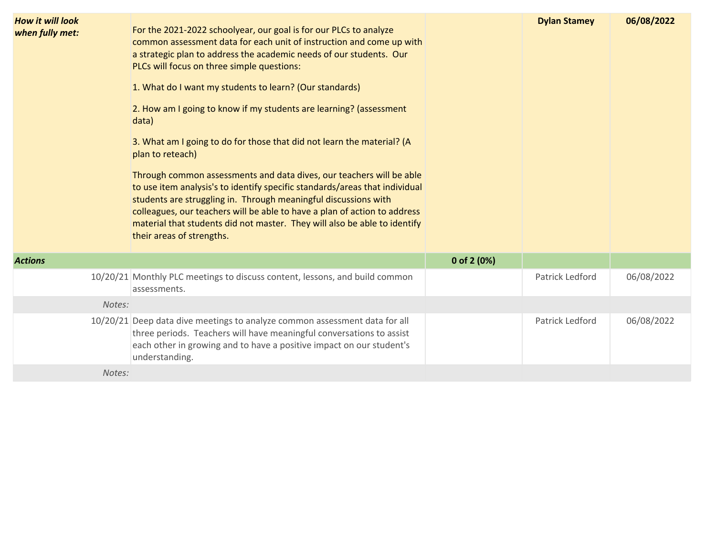| <b>How it will look</b><br>when fully met: | For the 2021-2022 schoolyear, our goal is for our PLCs to analyze<br>common assessment data for each unit of instruction and come up with<br>a strategic plan to address the academic needs of our students. Our<br>PLCs will focus on three simple questions:<br>1. What do I want my students to learn? (Our standards)<br>2. How am I going to know if my students are learning? (assessment<br>data)<br>3. What am I going to do for those that did not learn the material? (A<br>plan to reteach)<br>Through common assessments and data dives, our teachers will be able<br>to use item analysis's to identify specific standards/areas that individual<br>students are struggling in. Through meaningful discussions with<br>colleagues, our teachers will be able to have a plan of action to address<br>material that students did not master. They will also be able to identify<br>their areas of strengths. |               | <b>Dylan Stamey</b> | 06/08/2022 |
|--------------------------------------------|-------------------------------------------------------------------------------------------------------------------------------------------------------------------------------------------------------------------------------------------------------------------------------------------------------------------------------------------------------------------------------------------------------------------------------------------------------------------------------------------------------------------------------------------------------------------------------------------------------------------------------------------------------------------------------------------------------------------------------------------------------------------------------------------------------------------------------------------------------------------------------------------------------------------------|---------------|---------------------|------------|
| <b>Actions</b>                             |                                                                                                                                                                                                                                                                                                                                                                                                                                                                                                                                                                                                                                                                                                                                                                                                                                                                                                                         | 0 of 2 $(0%)$ |                     |            |
|                                            | 10/20/21 Monthly PLC meetings to discuss content, lessons, and build common<br>assessments.                                                                                                                                                                                                                                                                                                                                                                                                                                                                                                                                                                                                                                                                                                                                                                                                                             |               | Patrick Ledford     | 06/08/2022 |
| Notes:                                     |                                                                                                                                                                                                                                                                                                                                                                                                                                                                                                                                                                                                                                                                                                                                                                                                                                                                                                                         |               |                     |            |
|                                            | 10/20/21 Deep data dive meetings to analyze common assessment data for all<br>three periods. Teachers will have meaningful conversations to assist<br>each other in growing and to have a positive impact on our student's<br>understanding.                                                                                                                                                                                                                                                                                                                                                                                                                                                                                                                                                                                                                                                                            |               | Patrick Ledford     | 06/08/2022 |

*Notes:*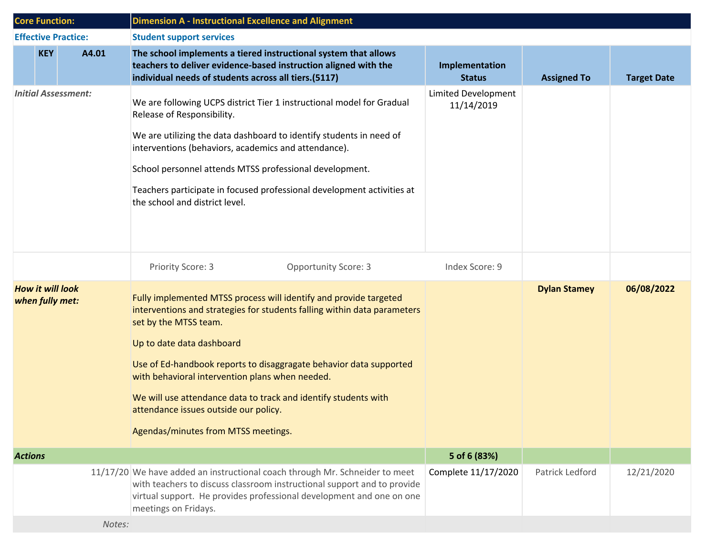| <b>Core Function:</b>                      |            |                            | <b>Dimension A - Instructional Excellence and Alignment</b>                                                                                                                                                                                                                                                                                                                                                                                                                     |                                   |                     |                    |  |
|--------------------------------------------|------------|----------------------------|---------------------------------------------------------------------------------------------------------------------------------------------------------------------------------------------------------------------------------------------------------------------------------------------------------------------------------------------------------------------------------------------------------------------------------------------------------------------------------|-----------------------------------|---------------------|--------------------|--|
|                                            |            | <b>Effective Practice:</b> | <b>Student support services</b>                                                                                                                                                                                                                                                                                                                                                                                                                                                 |                                   |                     |                    |  |
|                                            | <b>KEY</b> | A4.01                      | The school implements a tiered instructional system that allows<br>teachers to deliver evidence-based instruction aligned with the<br>individual needs of students across all tiers.(5117)                                                                                                                                                                                                                                                                                      | Implementation<br><b>Status</b>   | <b>Assigned To</b>  | <b>Target Date</b> |  |
| <b>Initial Assessment:</b>                 |            |                            | We are following UCPS district Tier 1 instructional model for Gradual<br>Release of Responsibility.<br>We are utilizing the data dashboard to identify students in need of<br>interventions (behaviors, academics and attendance).<br>School personnel attends MTSS professional development.<br>Teachers participate in focused professional development activities at<br>the school and district level.                                                                       | Limited Development<br>11/14/2019 |                     |                    |  |
|                                            |            |                            | Priority Score: 3<br><b>Opportunity Score: 3</b>                                                                                                                                                                                                                                                                                                                                                                                                                                | Index Score: 9                    |                     |                    |  |
| <b>How it will look</b><br>when fully met: |            |                            | Fully implemented MTSS process will identify and provide targeted<br>interventions and strategies for students falling within data parameters<br>set by the MTSS team.<br>Up to date data dashboard<br>Use of Ed-handbook reports to disaggragate behavior data supported<br>with behavioral intervention plans when needed.<br>We will use attendance data to track and identify students with<br>attendance issues outside our policy.<br>Agendas/minutes from MTSS meetings. |                                   | <b>Dylan Stamey</b> | 06/08/2022         |  |
| <b>Actions</b>                             |            |                            |                                                                                                                                                                                                                                                                                                                                                                                                                                                                                 | 5 of 6 (83%)                      |                     |                    |  |
|                                            |            | Notes:                     | 11/17/20 We have added an instructional coach through Mr. Schneider to meet<br>with teachers to discuss classroom instructional support and to provide<br>virtual support. He provides professional development and one on one<br>meetings on Fridays.                                                                                                                                                                                                                          | Complete 11/17/2020               | Patrick Ledford     | 12/21/2020         |  |
|                                            |            |                            |                                                                                                                                                                                                                                                                                                                                                                                                                                                                                 |                                   |                     |                    |  |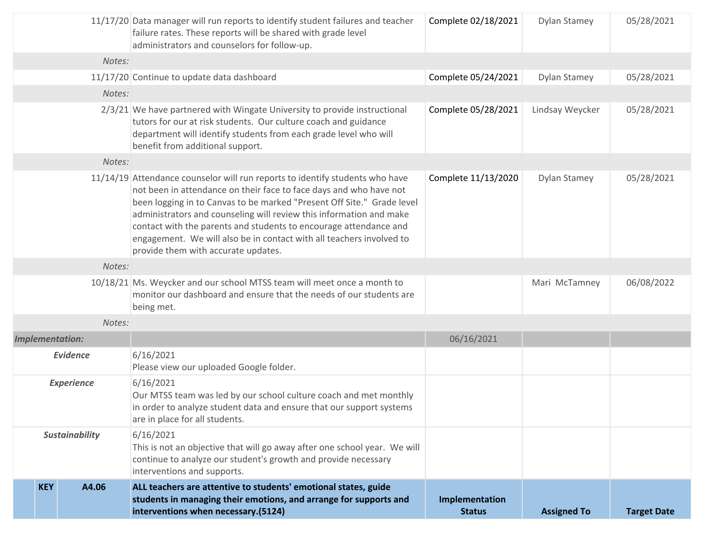|                                              | students in managing their emotions, and arrange for supports and<br>interventions when necessary.(5124)                                                                                                                                                                                                                                                                                                                                                                                | Implementation<br><b>Status</b> | <b>Assigned To</b> | <b>Target Date</b> |
|----------------------------------------------|-----------------------------------------------------------------------------------------------------------------------------------------------------------------------------------------------------------------------------------------------------------------------------------------------------------------------------------------------------------------------------------------------------------------------------------------------------------------------------------------|---------------------------------|--------------------|--------------------|
| <b>Sustainability</b><br><b>KEY</b><br>A4.06 | 6/16/2021<br>This is not an objective that will go away after one school year. We will<br>continue to analyze our student's growth and provide necessary<br>interventions and supports.<br>ALL teachers are attentive to students' emotional states, guide                                                                                                                                                                                                                              |                                 |                    |                    |
| <b>Experience</b>                            | 6/16/2021<br>Our MTSS team was led by our school culture coach and met monthly<br>in order to analyze student data and ensure that our support systems<br>are in place for all students.                                                                                                                                                                                                                                                                                                |                                 |                    |                    |
| <b>Evidence</b>                              | 6/16/2021<br>Please view our uploaded Google folder.                                                                                                                                                                                                                                                                                                                                                                                                                                    |                                 |                    |                    |
| <b>Implementation:</b>                       |                                                                                                                                                                                                                                                                                                                                                                                                                                                                                         | 06/16/2021                      |                    |                    |
| Notes:                                       |                                                                                                                                                                                                                                                                                                                                                                                                                                                                                         |                                 |                    |                    |
|                                              | 10/18/21 Ms. Weycker and our school MTSS team will meet once a month to<br>monitor our dashboard and ensure that the needs of our students are<br>being met.                                                                                                                                                                                                                                                                                                                            |                                 | Mari McTamney      | 06/08/2022         |
| Notes:                                       |                                                                                                                                                                                                                                                                                                                                                                                                                                                                                         |                                 |                    |                    |
|                                              | 11/14/19 Attendance counselor will run reports to identify students who have<br>not been in attendance on their face to face days and who have not<br>been logging in to Canvas to be marked "Present Off Site." Grade level<br>administrators and counseling will review this information and make<br>contact with the parents and students to encourage attendance and<br>engagement. We will also be in contact with all teachers involved to<br>provide them with accurate updates. | Complete 11/13/2020             | Dylan Stamey       | 05/28/2021         |
| Notes:                                       |                                                                                                                                                                                                                                                                                                                                                                                                                                                                                         |                                 |                    |                    |
|                                              | $2/3/21$ We have partnered with Wingate University to provide instructional<br>tutors for our at risk students. Our culture coach and guidance<br>department will identify students from each grade level who will<br>benefit from additional support.                                                                                                                                                                                                                                  | Complete 05/28/2021             | Lindsay Weycker    | 05/28/2021         |
| Notes:                                       |                                                                                                                                                                                                                                                                                                                                                                                                                                                                                         |                                 |                    |                    |
|                                              | 11/17/20 Continue to update data dashboard                                                                                                                                                                                                                                                                                                                                                                                                                                              | Complete 05/24/2021             | Dylan Stamey       | 05/28/2021         |
| Notes:                                       |                                                                                                                                                                                                                                                                                                                                                                                                                                                                                         |                                 |                    |                    |
|                                              | 11/17/20 Data manager will run reports to identify student failures and teacher<br>failure rates. These reports will be shared with grade level<br>administrators and counselors for follow-up.                                                                                                                                                                                                                                                                                         | Complete 02/18/2021             | Dylan Stamey       | 05/28/2021         |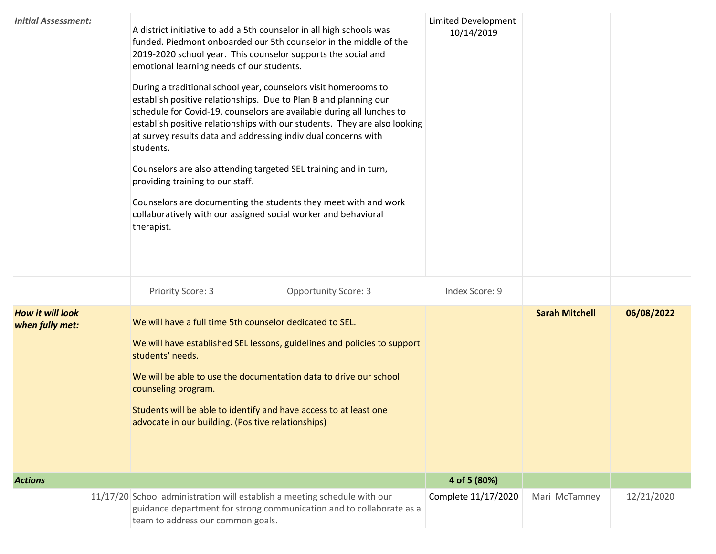| <b>Initial Assessment:</b>                 | A district initiative to add a 5th counselor in all high schools was<br>funded. Piedmont onboarded our 5th counselor in the middle of the<br>2019-2020 school year. This counselor supports the social and<br>emotional learning needs of our students.<br>During a traditional school year, counselors visit homerooms to<br>establish positive relationships. Due to Plan B and planning our<br>schedule for Covid-19, counselors are available during all lunches to<br>establish positive relationships with our students. They are also looking<br>at survey results data and addressing individual concerns with<br>students.<br>Counselors are also attending targeted SEL training and in turn,<br>providing training to our staff.<br>Counselors are documenting the students they meet with and work<br>collaboratively with our assigned social worker and behavioral<br>therapist. | <b>Limited Development</b><br>10/14/2019 |                       |            |
|--------------------------------------------|------------------------------------------------------------------------------------------------------------------------------------------------------------------------------------------------------------------------------------------------------------------------------------------------------------------------------------------------------------------------------------------------------------------------------------------------------------------------------------------------------------------------------------------------------------------------------------------------------------------------------------------------------------------------------------------------------------------------------------------------------------------------------------------------------------------------------------------------------------------------------------------------|------------------------------------------|-----------------------|------------|
|                                            | Priority Score: 3<br><b>Opportunity Score: 3</b>                                                                                                                                                                                                                                                                                                                                                                                                                                                                                                                                                                                                                                                                                                                                                                                                                                               | Index Score: 9                           |                       |            |
| <b>How it will look</b><br>when fully met: | We will have a full time 5th counselor dedicated to SEL.<br>We will have established SEL lessons, guidelines and policies to support<br>students' needs.<br>We will be able to use the documentation data to drive our school<br>counseling program.<br>Students will be able to identify and have access to at least one<br>advocate in our building. (Positive relationships)                                                                                                                                                                                                                                                                                                                                                                                                                                                                                                                |                                          | <b>Sarah Mitchell</b> | 06/08/2022 |
| <b>Actions</b>                             |                                                                                                                                                                                                                                                                                                                                                                                                                                                                                                                                                                                                                                                                                                                                                                                                                                                                                                | 4 of 5 (80%)                             |                       |            |
|                                            | 11/17/20 School administration will establish a meeting schedule with our<br>guidance department for strong communication and to collaborate as a<br>team to address our common goals.                                                                                                                                                                                                                                                                                                                                                                                                                                                                                                                                                                                                                                                                                                         | Complete 11/17/2020                      | Mari McTamney         | 12/21/2020 |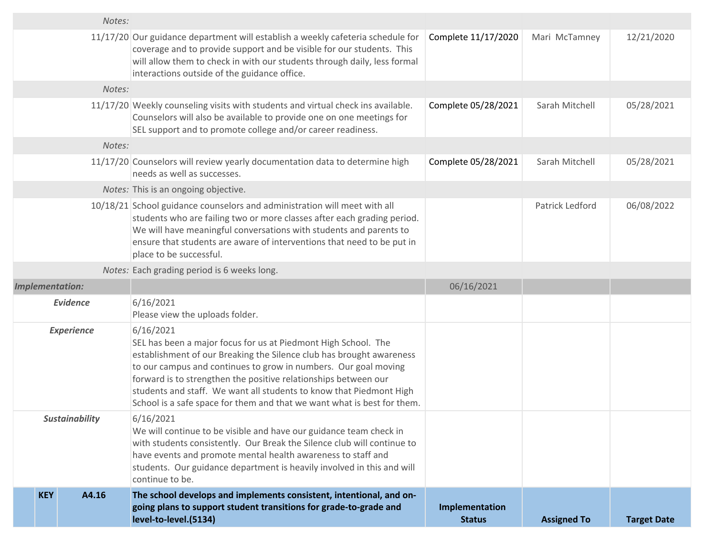|                        | going plans to support student transitions for grade-to-grade and<br>level-to-level.(5134)                                                                                                                                                                                                                                                                                                                                                  | Implementation<br><b>Status</b> | <b>Assigned To</b> | <b>Target Date</b> |
|------------------------|---------------------------------------------------------------------------------------------------------------------------------------------------------------------------------------------------------------------------------------------------------------------------------------------------------------------------------------------------------------------------------------------------------------------------------------------|---------------------------------|--------------------|--------------------|
| <b>KEY</b><br>A4.16    | continue to be.<br>The school develops and implements consistent, intentional, and on-                                                                                                                                                                                                                                                                                                                                                      |                                 |                    |                    |
| <b>Sustainability</b>  | 6/16/2021<br>We will continue to be visible and have our guidance team check in<br>with students consistently. Our Break the Silence club will continue to<br>have events and promote mental health awareness to staff and<br>students. Our guidance department is heavily involved in this and will                                                                                                                                        |                                 |                    |                    |
| <b>Experience</b>      | 6/16/2021<br>SEL has been a major focus for us at Piedmont High School. The<br>establishment of our Breaking the Silence club has brought awareness<br>to our campus and continues to grow in numbers. Our goal moving<br>forward is to strengthen the positive relationships between our<br>students and staff. We want all students to know that Piedmont High<br>School is a safe space for them and that we want what is best for them. |                                 |                    |                    |
| <b>Evidence</b>        | 6/16/2021<br>Please view the uploads folder.                                                                                                                                                                                                                                                                                                                                                                                                |                                 |                    |                    |
| <b>Implementation:</b> |                                                                                                                                                                                                                                                                                                                                                                                                                                             | 06/16/2021                      |                    |                    |
|                        | Notes: Each grading period is 6 weeks long.                                                                                                                                                                                                                                                                                                                                                                                                 |                                 |                    |                    |
|                        | 10/18/21 School guidance counselors and administration will meet with all<br>students who are failing two or more classes after each grading period.<br>We will have meaningful conversations with students and parents to<br>ensure that students are aware of interventions that need to be put in<br>place to be successful.                                                                                                             |                                 | Patrick Ledford    | 06/08/2022         |
|                        | Notes: This is an ongoing objective.                                                                                                                                                                                                                                                                                                                                                                                                        |                                 |                    |                    |
|                        | 11/17/20 Counselors will review yearly documentation data to determine high<br>needs as well as successes.                                                                                                                                                                                                                                                                                                                                  | Complete 05/28/2021             | Sarah Mitchell     | 05/28/2021         |
| Notes:                 |                                                                                                                                                                                                                                                                                                                                                                                                                                             |                                 |                    |                    |
|                        | 11/17/20 Weekly counseling visits with students and virtual check ins available.<br>Counselors will also be available to provide one on one meetings for<br>SEL support and to promote college and/or career readiness.                                                                                                                                                                                                                     | Complete 05/28/2021             | Sarah Mitchell     | 05/28/2021         |
| Notes:                 |                                                                                                                                                                                                                                                                                                                                                                                                                                             |                                 |                    |                    |
|                        | 11/17/20 Our guidance department will establish a weekly cafeteria schedule for<br>coverage and to provide support and be visible for our students. This<br>will allow them to check in with our students through daily, less formal<br>interactions outside of the guidance office.                                                                                                                                                        | Complete 11/17/2020             | Mari McTamney      | 12/21/2020         |
| Notes:                 |                                                                                                                                                                                                                                                                                                                                                                                                                                             |                                 |                    |                    |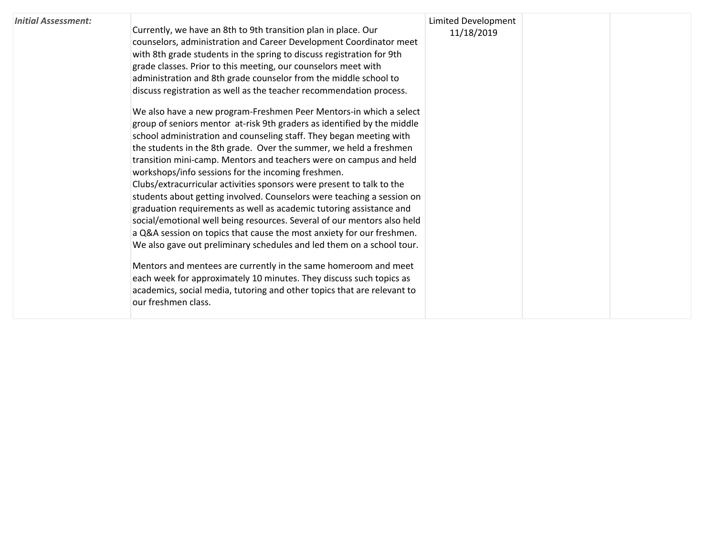| <b>Initial Assessment:</b> | Currently, we have an 8th to 9th transition plan in place. Our<br>counselors, administration and Career Development Coordinator meet<br>with 8th grade students in the spring to discuss registration for 9th<br>grade classes. Prior to this meeting, our counselors meet with<br>administration and 8th grade counselor from the middle school to<br>discuss registration as well as the teacher recommendation process.<br>We also have a new program-Freshmen Peer Mentors-in which a select<br>group of seniors mentor at-risk 9th graders as identified by the middle<br>school administration and counseling staff. They began meeting with<br>the students in the 8th grade. Over the summer, we held a freshmen<br>transition mini-camp. Mentors and teachers were on campus and held<br>workshops/info sessions for the incoming freshmen.<br>Clubs/extracurricular activities sponsors were present to talk to the<br>students about getting involved. Counselors were teaching a session on<br>graduation requirements as well as academic tutoring assistance and<br>social/emotional well being resources. Several of our mentors also held<br>a Q&A session on topics that cause the most anxiety for our freshmen.<br>We also gave out preliminary schedules and led them on a school tour.<br>Mentors and mentees are currently in the same homeroom and meet<br>each week for approximately 10 minutes. They discuss such topics as<br>academics, social media, tutoring and other topics that are relevant to<br>our freshmen class. | Limited Development<br>11/18/2019 |  |  |
|----------------------------|---------------------------------------------------------------------------------------------------------------------------------------------------------------------------------------------------------------------------------------------------------------------------------------------------------------------------------------------------------------------------------------------------------------------------------------------------------------------------------------------------------------------------------------------------------------------------------------------------------------------------------------------------------------------------------------------------------------------------------------------------------------------------------------------------------------------------------------------------------------------------------------------------------------------------------------------------------------------------------------------------------------------------------------------------------------------------------------------------------------------------------------------------------------------------------------------------------------------------------------------------------------------------------------------------------------------------------------------------------------------------------------------------------------------------------------------------------------------------------------------------------------------------------------------------------|-----------------------------------|--|--|
|----------------------------|---------------------------------------------------------------------------------------------------------------------------------------------------------------------------------------------------------------------------------------------------------------------------------------------------------------------------------------------------------------------------------------------------------------------------------------------------------------------------------------------------------------------------------------------------------------------------------------------------------------------------------------------------------------------------------------------------------------------------------------------------------------------------------------------------------------------------------------------------------------------------------------------------------------------------------------------------------------------------------------------------------------------------------------------------------------------------------------------------------------------------------------------------------------------------------------------------------------------------------------------------------------------------------------------------------------------------------------------------------------------------------------------------------------------------------------------------------------------------------------------------------------------------------------------------------|-----------------------------------|--|--|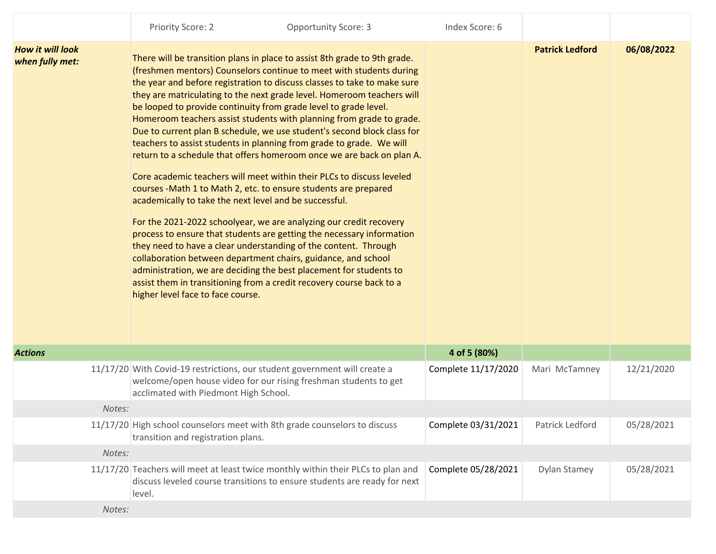|                                            | Priority Score: 2                     | <b>Opportunity Score: 3</b>                                                                                                                                                                                                                                                                                                                                                                                                                                                                                                                                                                                                                                                                                                                                                                                                                                                                                                                                                                                                                                                                                                                                                                                                                                                                                            | Index Score: 6      |                        |            |
|--------------------------------------------|---------------------------------------|------------------------------------------------------------------------------------------------------------------------------------------------------------------------------------------------------------------------------------------------------------------------------------------------------------------------------------------------------------------------------------------------------------------------------------------------------------------------------------------------------------------------------------------------------------------------------------------------------------------------------------------------------------------------------------------------------------------------------------------------------------------------------------------------------------------------------------------------------------------------------------------------------------------------------------------------------------------------------------------------------------------------------------------------------------------------------------------------------------------------------------------------------------------------------------------------------------------------------------------------------------------------------------------------------------------------|---------------------|------------------------|------------|
| <b>How it will look</b><br>when fully met: | higher level face to face course.     | There will be transition plans in place to assist 8th grade to 9th grade.<br>(freshmen mentors) Counselors continue to meet with students during<br>the year and before registration to discuss classes to take to make sure<br>they are matriculating to the next grade level. Homeroom teachers will<br>be looped to provide continuity from grade level to grade level.<br>Homeroom teachers assist students with planning from grade to grade.<br>Due to current plan B schedule, we use student's second block class for<br>teachers to assist students in planning from grade to grade. We will<br>return to a schedule that offers homeroom once we are back on plan A.<br>Core academic teachers will meet within their PLCs to discuss leveled<br>courses - Math 1 to Math 2, etc. to ensure students are prepared<br>academically to take the next level and be successful.<br>For the 2021-2022 schoolyear, we are analyzing our credit recovery<br>process to ensure that students are getting the necessary information<br>they need to have a clear understanding of the content. Through<br>collaboration between department chairs, guidance, and school<br>administration, we are deciding the best placement for students to<br>assist them in transitioning from a credit recovery course back to a |                     | <b>Patrick Ledford</b> | 06/08/2022 |
| <b>Actions</b>                             |                                       |                                                                                                                                                                                                                                                                                                                                                                                                                                                                                                                                                                                                                                                                                                                                                                                                                                                                                                                                                                                                                                                                                                                                                                                                                                                                                                                        | 4 of 5 (80%)        |                        |            |
|                                            | acclimated with Piedmont High School. | 11/17/20 With Covid-19 restrictions, our student government will create a<br>welcome/open house video for our rising freshman students to get                                                                                                                                                                                                                                                                                                                                                                                                                                                                                                                                                                                                                                                                                                                                                                                                                                                                                                                                                                                                                                                                                                                                                                          | Complete 11/17/2020 | Mari McTamney          | 12/21/2020 |
| Notes:                                     |                                       |                                                                                                                                                                                                                                                                                                                                                                                                                                                                                                                                                                                                                                                                                                                                                                                                                                                                                                                                                                                                                                                                                                                                                                                                                                                                                                                        |                     |                        |            |
|                                            | transition and registration plans.    | 11/17/20 High school counselors meet with 8th grade counselors to discuss                                                                                                                                                                                                                                                                                                                                                                                                                                                                                                                                                                                                                                                                                                                                                                                                                                                                                                                                                                                                                                                                                                                                                                                                                                              | Complete 03/31/2021 | Patrick Ledford        | 05/28/2021 |
| Notes:                                     |                                       |                                                                                                                                                                                                                                                                                                                                                                                                                                                                                                                                                                                                                                                                                                                                                                                                                                                                                                                                                                                                                                                                                                                                                                                                                                                                                                                        |                     |                        |            |
|                                            |                                       | 11/17/20 Teachers will meet at least twice monthly within their PLCs to plan and<br>discuss leveled course transitions to ensure students are ready for next                                                                                                                                                                                                                                                                                                                                                                                                                                                                                                                                                                                                                                                                                                                                                                                                                                                                                                                                                                                                                                                                                                                                                           | Complete 05/28/2021 | Dylan Stamey           | 05/28/2021 |

*Notes:*

level.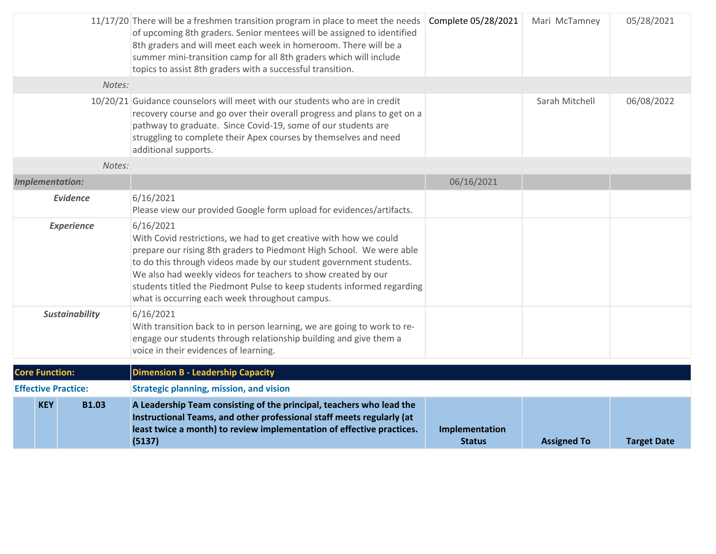|                            | 11/17/20 There will be a freshmen transition program in place to meet the needs<br>of upcoming 8th graders. Senior mentees will be assigned to identified<br>8th graders and will meet each week in homeroom. There will be a<br>summer mini-transition camp for all 8th graders which will include<br>topics to assist 8th graders with a successful transition.                                                         | Complete 05/28/2021             | Mari McTamney      | 05/28/2021         |
|----------------------------|---------------------------------------------------------------------------------------------------------------------------------------------------------------------------------------------------------------------------------------------------------------------------------------------------------------------------------------------------------------------------------------------------------------------------|---------------------------------|--------------------|--------------------|
| Notes:                     |                                                                                                                                                                                                                                                                                                                                                                                                                           |                                 |                    |                    |
|                            | 10/20/21 Guidance counselors will meet with our students who are in credit<br>recovery course and go over their overall progress and plans to get on a<br>pathway to graduate. Since Covid-19, some of our students are<br>struggling to complete their Apex courses by themselves and need<br>additional supports.                                                                                                       |                                 | Sarah Mitchell     | 06/08/2022         |
| Notes:                     |                                                                                                                                                                                                                                                                                                                                                                                                                           |                                 |                    |                    |
| <b>Implementation:</b>     |                                                                                                                                                                                                                                                                                                                                                                                                                           | 06/16/2021                      |                    |                    |
| <b>Evidence</b>            | 6/16/2021<br>Please view our provided Google form upload for evidences/artifacts.                                                                                                                                                                                                                                                                                                                                         |                                 |                    |                    |
| <b>Experience</b>          | 6/16/2021<br>With Covid restrictions, we had to get creative with how we could<br>prepare our rising 8th graders to Piedmont High School. We were able<br>to do this through videos made by our student government students.<br>We also had weekly videos for teachers to show created by our<br>students titled the Piedmont Pulse to keep students informed regarding<br>what is occurring each week throughout campus. |                                 |                    |                    |
| <b>Sustainability</b>      | 6/16/2021<br>With transition back to in person learning, we are going to work to re-<br>engage our students through relationship building and give them a<br>voice in their evidences of learning.                                                                                                                                                                                                                        |                                 |                    |                    |
| <b>Core Function:</b>      | <b>Dimension B - Leadership Capacity</b>                                                                                                                                                                                                                                                                                                                                                                                  |                                 |                    |                    |
| <b>Effective Practice:</b> | <b>Strategic planning, mission, and vision</b>                                                                                                                                                                                                                                                                                                                                                                            |                                 |                    |                    |
| <b>KEY</b><br><b>B1.03</b> | A Leadership Team consisting of the principal, teachers who lead the<br>Instructional Teams, and other professional staff meets regularly (at<br>least twice a month) to review implementation of effective practices.<br>(5137)                                                                                                                                                                                          | Implementation<br><b>Status</b> | <b>Assigned To</b> | <b>Target Date</b> |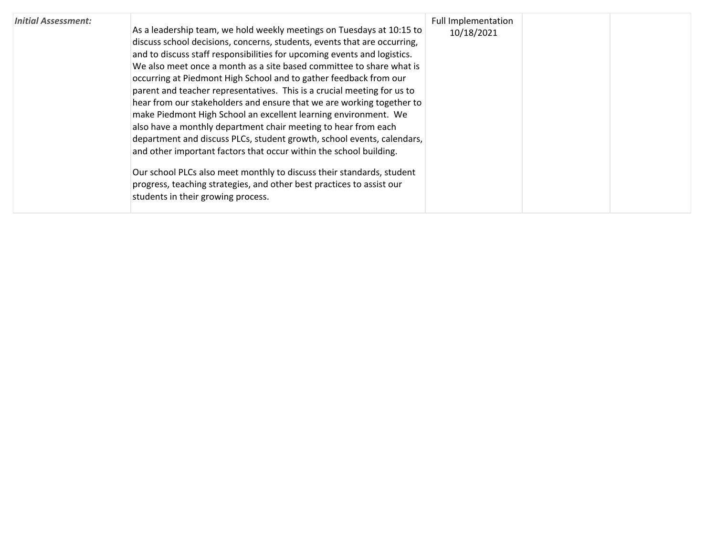| <b>Initial Assessment:</b> | As a leadership team, we hold weekly meetings on Tuesdays at 10:15 to                                                                            | Full Implementation<br>10/18/2021 |  |
|----------------------------|--------------------------------------------------------------------------------------------------------------------------------------------------|-----------------------------------|--|
|                            | discuss school decisions, concerns, students, events that are occurring,                                                                         |                                   |  |
|                            | and to discuss staff responsibilities for upcoming events and logistics.<br>We also meet once a month as a site based committee to share what is |                                   |  |
|                            | occurring at Piedmont High School and to gather feedback from our                                                                                |                                   |  |
|                            | parent and teacher representatives. This is a crucial meeting for us to                                                                          |                                   |  |
|                            | hear from our stakeholders and ensure that we are working together to                                                                            |                                   |  |
|                            | make Piedmont High School an excellent learning environment. We                                                                                  |                                   |  |
|                            | also have a monthly department chair meeting to hear from each                                                                                   |                                   |  |
|                            | department and discuss PLCs, student growth, school events, calendars,                                                                           |                                   |  |
|                            | and other important factors that occur within the school building.                                                                               |                                   |  |
|                            | Our school PLCs also meet monthly to discuss their standards, student                                                                            |                                   |  |
|                            | progress, teaching strategies, and other best practices to assist our                                                                            |                                   |  |
|                            | students in their growing process.                                                                                                               |                                   |  |
|                            |                                                                                                                                                  |                                   |  |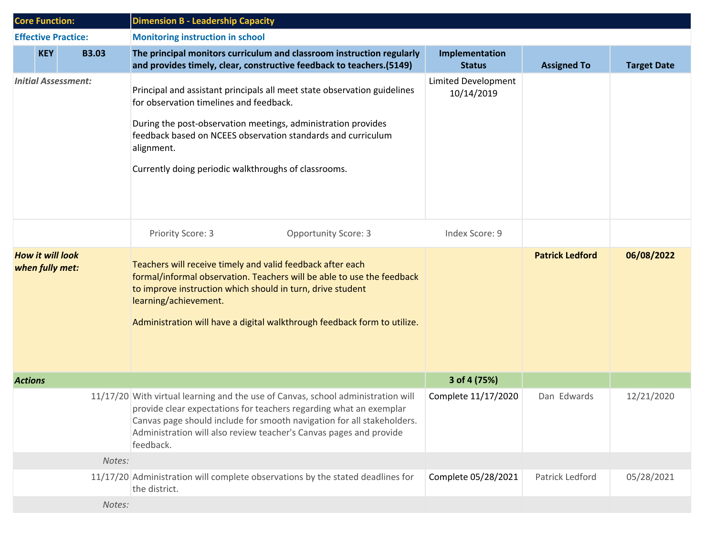| <b>Core Function:</b>                      |            |                            | <b>Dimension B - Leadership Capacity</b>                                                                                                                                                                                                                                                                                   |                                   |                        |                    |
|--------------------------------------------|------------|----------------------------|----------------------------------------------------------------------------------------------------------------------------------------------------------------------------------------------------------------------------------------------------------------------------------------------------------------------------|-----------------------------------|------------------------|--------------------|
|                                            |            | <b>Effective Practice:</b> | <b>Monitoring instruction in school</b>                                                                                                                                                                                                                                                                                    |                                   |                        |                    |
|                                            | <b>KEY</b> | <b>B3.03</b>               | The principal monitors curriculum and classroom instruction regularly<br>and provides timely, clear, constructive feedback to teachers.(5149)                                                                                                                                                                              | Implementation<br><b>Status</b>   | <b>Assigned To</b>     | <b>Target Date</b> |
| <b>Initial Assessment:</b>                 |            |                            | Principal and assistant principals all meet state observation guidelines<br>for observation timelines and feedback.<br>During the post-observation meetings, administration provides<br>feedback based on NCEES observation standards and curriculum<br>alignment.<br>Currently doing periodic walkthroughs of classrooms. | Limited Development<br>10/14/2019 |                        |                    |
|                                            |            |                            | Priority Score: 3<br><b>Opportunity Score: 3</b>                                                                                                                                                                                                                                                                           | Index Score: 9                    |                        |                    |
| <b>How it will look</b><br>when fully met: |            |                            | Teachers will receive timely and valid feedback after each<br>formal/informal observation. Teachers will be able to use the feedback<br>to improve instruction which should in turn, drive student<br>learning/achievement.<br>Administration will have a digital walkthrough feedback form to utilize.                    |                                   | <b>Patrick Ledford</b> | 06/08/2022         |
| <b>Actions</b>                             |            |                            |                                                                                                                                                                                                                                                                                                                            | 3 of 4 (75%)                      |                        |                    |
|                                            |            |                            | 11/17/20 With virtual learning and the use of Canvas, school administration will<br>provide clear expectations for teachers regarding what an exemplar<br>Canvas page should include for smooth navigation for all stakeholders.<br>Administration will also review teacher's Canvas pages and provide<br>feedback.        | Complete 11/17/2020               | Dan Edwards            | 12/21/2020         |
|                                            |            | Notes:                     |                                                                                                                                                                                                                                                                                                                            |                                   |                        |                    |
|                                            |            |                            | 11/17/20 Administration will complete observations by the stated deadlines for<br>the district.                                                                                                                                                                                                                            | Complete 05/28/2021               | Patrick Ledford        | 05/28/2021         |
|                                            |            | Notes:                     |                                                                                                                                                                                                                                                                                                                            |                                   |                        |                    |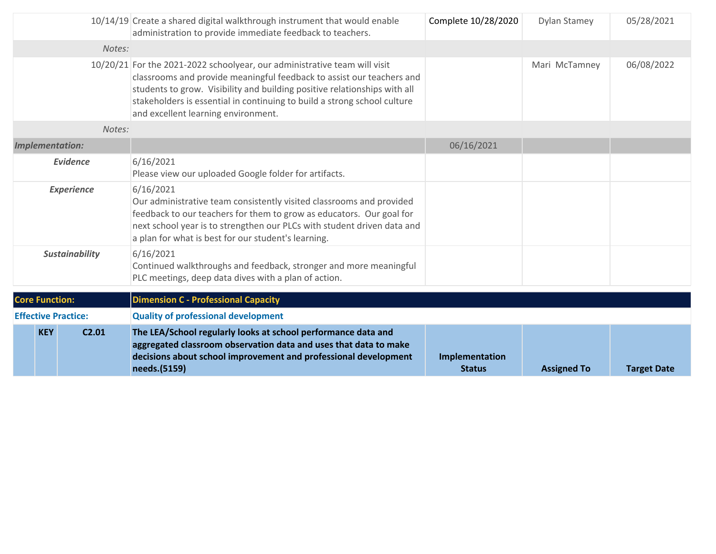|                                 | 10/14/19 Create a shared digital walkthrough instrument that would enable<br>administration to provide immediate feedback to teachers.                                                                                                                                                                                                             | Complete 10/28/2020             | Dylan Stamey       | 05/28/2021         |
|---------------------------------|----------------------------------------------------------------------------------------------------------------------------------------------------------------------------------------------------------------------------------------------------------------------------------------------------------------------------------------------------|---------------------------------|--------------------|--------------------|
| Notes:                          |                                                                                                                                                                                                                                                                                                                                                    |                                 |                    |                    |
|                                 | 10/20/21 For the 2021-2022 schoolyear, our administrative team will visit<br>classrooms and provide meaningful feedback to assist our teachers and<br>students to grow. Visibility and building positive relationships with all<br>stakeholders is essential in continuing to build a strong school culture<br>and excellent learning environment. |                                 | Mari McTamney      | 06/08/2022         |
| Notes:                          |                                                                                                                                                                                                                                                                                                                                                    |                                 |                    |                    |
| <b>Implementation:</b>          |                                                                                                                                                                                                                                                                                                                                                    | 06/16/2021                      |                    |                    |
| Evidence                        | 6/16/2021<br>Please view our uploaded Google folder for artifacts.                                                                                                                                                                                                                                                                                 |                                 |                    |                    |
| <b>Experience</b>               | 6/16/2021<br>Our administrative team consistently visited classrooms and provided<br>feedback to our teachers for them to grow as educators. Our goal for<br>next school year is to strengthen our PLCs with student driven data and<br>a plan for what is best for our student's learning.                                                        |                                 |                    |                    |
| <b>Sustainability</b>           | 6/16/2021<br>Continued walkthroughs and feedback, stronger and more meaningful<br>PLC meetings, deep data dives with a plan of action.                                                                                                                                                                                                             |                                 |                    |                    |
| <b>Core Function:</b>           | <b>Dimension C - Professional Capacity</b>                                                                                                                                                                                                                                                                                                         |                                 |                    |                    |
| <b>Effective Practice:</b>      | <b>Quality of professional development</b>                                                                                                                                                                                                                                                                                                         |                                 |                    |                    |
| <b>KEY</b><br>C <sub>2.01</sub> | The LEA/School regularly looks at school performance data and<br>aggregated classroom observation data and uses that data to make<br>decisions about school improvement and professional development<br>needs.(5159)                                                                                                                               | Implementation<br><b>Status</b> | <b>Assigned To</b> | <b>Target Date</b> |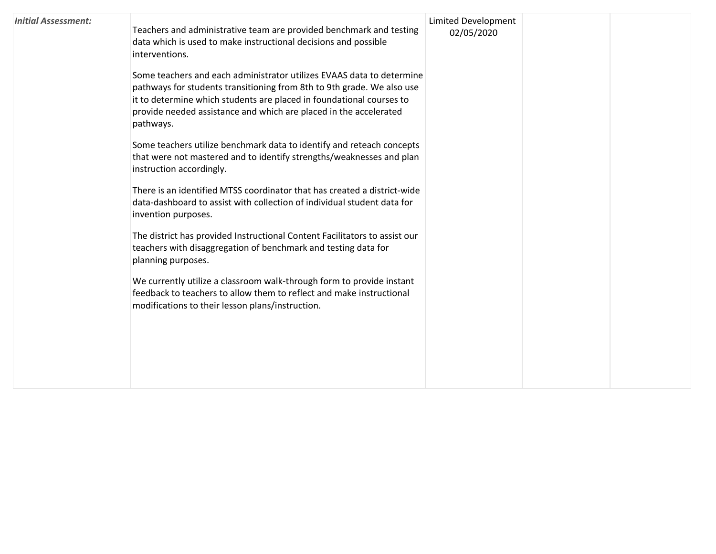| <b>Initial Assessment:</b> | Teachers and administrative team are provided benchmark and testing<br>data which is used to make instructional decisions and possible<br>interventions.<br>Some teachers and each administrator utilizes EVAAS data to determine<br>pathways for students transitioning from 8th to 9th grade. We also use<br>it to determine which students are placed in foundational courses to<br>provide needed assistance and which are placed in the accelerated<br>pathways.<br>Some teachers utilize benchmark data to identify and reteach concepts<br>that were not mastered and to identify strengths/weaknesses and plan<br>instruction accordingly.<br>There is an identified MTSS coordinator that has created a district-wide<br>data-dashboard to assist with collection of individual student data for<br>invention purposes.<br>The district has provided Instructional Content Facilitators to assist our<br>teachers with disaggregation of benchmark and testing data for<br>planning purposes.<br>We currently utilize a classroom walk-through form to provide instant<br>feedback to teachers to allow them to reflect and make instructional<br>modifications to their lesson plans/instruction. | <b>Limited Development</b><br>02/05/2020 |  |  |
|----------------------------|-------------------------------------------------------------------------------------------------------------------------------------------------------------------------------------------------------------------------------------------------------------------------------------------------------------------------------------------------------------------------------------------------------------------------------------------------------------------------------------------------------------------------------------------------------------------------------------------------------------------------------------------------------------------------------------------------------------------------------------------------------------------------------------------------------------------------------------------------------------------------------------------------------------------------------------------------------------------------------------------------------------------------------------------------------------------------------------------------------------------------------------------------------------------------------------------------------------|------------------------------------------|--|--|
|----------------------------|-------------------------------------------------------------------------------------------------------------------------------------------------------------------------------------------------------------------------------------------------------------------------------------------------------------------------------------------------------------------------------------------------------------------------------------------------------------------------------------------------------------------------------------------------------------------------------------------------------------------------------------------------------------------------------------------------------------------------------------------------------------------------------------------------------------------------------------------------------------------------------------------------------------------------------------------------------------------------------------------------------------------------------------------------------------------------------------------------------------------------------------------------------------------------------------------------------------|------------------------------------------|--|--|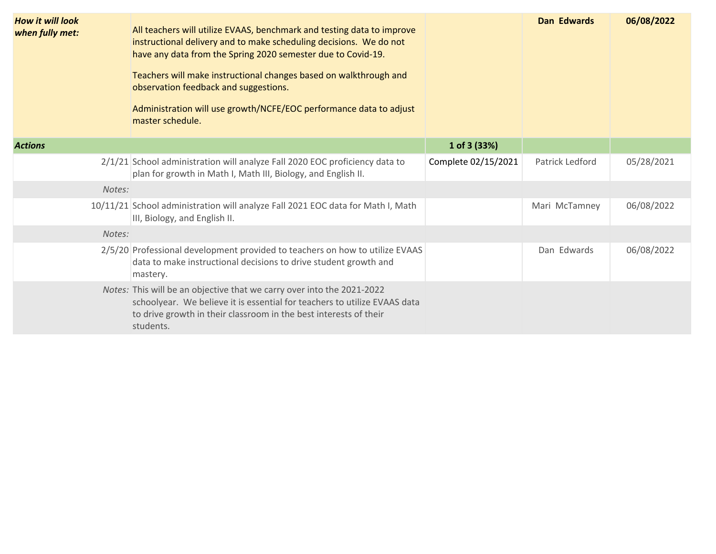| <b>How it will look</b><br>when fully met: | All teachers will utilize EVAAS, benchmark and testing data to improve<br>instructional delivery and to make scheduling decisions. We do not<br>have any data from the Spring 2020 semester due to Covid-19.<br>Teachers will make instructional changes based on walkthrough and<br>observation feedback and suggestions.<br>Administration will use growth/NCFE/EOC performance data to adjust<br>master schedule. |                     | <b>Dan Edwards</b> | 06/08/2022 |
|--------------------------------------------|----------------------------------------------------------------------------------------------------------------------------------------------------------------------------------------------------------------------------------------------------------------------------------------------------------------------------------------------------------------------------------------------------------------------|---------------------|--------------------|------------|
| <b>Actions</b>                             |                                                                                                                                                                                                                                                                                                                                                                                                                      | 1 of 3 (33%)        |                    |            |
|                                            | 2/1/21 School administration will analyze Fall 2020 EOC proficiency data to<br>plan for growth in Math I, Math III, Biology, and English II.                                                                                                                                                                                                                                                                         | Complete 02/15/2021 | Patrick Ledford    | 05/28/2021 |
| Notes:                                     |                                                                                                                                                                                                                                                                                                                                                                                                                      |                     |                    |            |
|                                            | 10/11/21 School administration will analyze Fall 2021 EOC data for Math I, Math<br>III, Biology, and English II.                                                                                                                                                                                                                                                                                                     |                     | Mari McTamney      | 06/08/2022 |
| Notes:                                     |                                                                                                                                                                                                                                                                                                                                                                                                                      |                     |                    |            |
|                                            | 2/5/20 Professional development provided to teachers on how to utilize EVAAS<br>data to make instructional decisions to drive student growth and<br>mastery.                                                                                                                                                                                                                                                         |                     | Dan Edwards        | 06/08/2022 |
|                                            | Notes: This will be an objective that we carry over into the 2021-2022<br>schoolyear. We believe it is essential for teachers to utilize EVAAS data<br>to drive growth in their classroom in the best interests of their<br>students.                                                                                                                                                                                |                     |                    |            |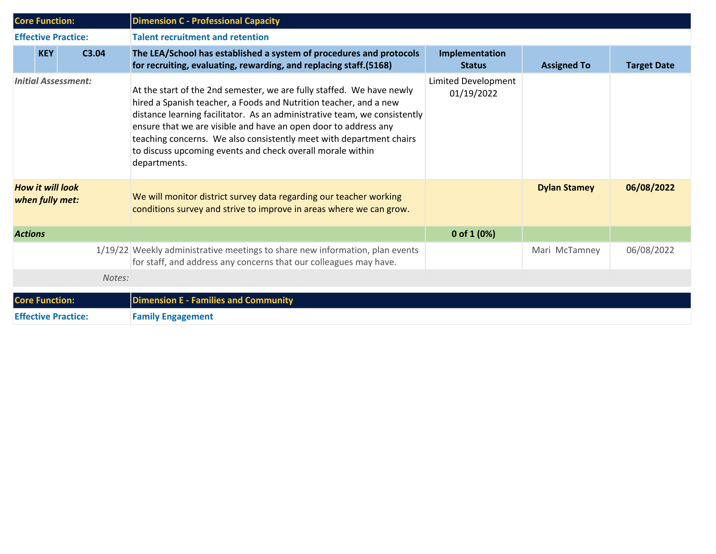| <b>Core Function:</b>                      |       |        | <b>Dimension C - Professional Capacity</b>                                                                                                                                                                                                                                                                                                                                                                                                      |                                   |                     |                    |  |  |
|--------------------------------------------|-------|--------|-------------------------------------------------------------------------------------------------------------------------------------------------------------------------------------------------------------------------------------------------------------------------------------------------------------------------------------------------------------------------------------------------------------------------------------------------|-----------------------------------|---------------------|--------------------|--|--|
| <b>Effective Practice:</b>                 |       |        | <b>Talent recruitment and retention</b>                                                                                                                                                                                                                                                                                                                                                                                                         |                                   |                     |                    |  |  |
| <b>KEY</b>                                 | C3.04 |        | The LEA/School has established a system of procedures and protocols<br>for recruiting, evaluating, rewarding, and replacing staff.(5168)                                                                                                                                                                                                                                                                                                        | Implementation<br><b>Status</b>   | <b>Assigned To</b>  | <b>Target Date</b> |  |  |
| <b>Initial Assessment:</b>                 |       |        | At the start of the 2nd semester, we are fully staffed. We have newly<br>hired a Spanish teacher, a Foods and Nutrition teacher, and a new<br>distance learning facilitator. As an administrative team, we consistently<br>ensure that we are visible and have an open door to address any<br>teaching concerns. We also consistently meet with department chairs<br>to discuss upcoming events and check overall morale within<br>departments. | Limited Development<br>01/19/2022 |                     |                    |  |  |
| <b>How it will look</b><br>when fully met: |       |        | We will monitor district survey data regarding our teacher working<br>conditions survey and strive to improve in areas where we can grow.                                                                                                                                                                                                                                                                                                       |                                   | <b>Dylan Stamey</b> | 06/08/2022         |  |  |
| <b>Actions</b>                             |       |        |                                                                                                                                                                                                                                                                                                                                                                                                                                                 | 0 of $1(0%)$                      |                     |                    |  |  |
|                                            |       |        | 1/19/22 Weekly administrative meetings to share new information, plan events<br>for staff, and address any concerns that our colleagues may have.                                                                                                                                                                                                                                                                                               |                                   | Mari McTamney       | 06/08/2022         |  |  |
|                                            |       | Notes: |                                                                                                                                                                                                                                                                                                                                                                                                                                                 |                                   |                     |                    |  |  |
| <b>Core Function:</b>                      |       |        | <b>Dimension E - Families and Community</b>                                                                                                                                                                                                                                                                                                                                                                                                     |                                   |                     |                    |  |  |
| <b>Effective Practice:</b>                 |       |        | <b>Family Engagement</b>                                                                                                                                                                                                                                                                                                                                                                                                                        |                                   |                     |                    |  |  |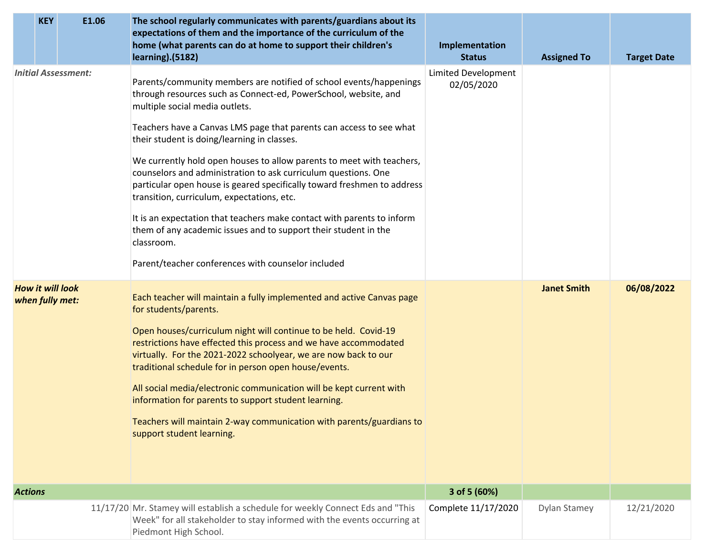|                                            | <b>KEY</b> | E1.06 | The school regularly communicates with parents/guardians about its<br>expectations of them and the importance of the curriculum of the<br>home (what parents can do at home to support their children's<br>learning).(5182)                                                                                                                                                                                                                                                                                                                                                                                                                                                                                                                                                        | Implementation<br><b>Status</b>   | <b>Assigned To</b> | <b>Target Date</b> |
|--------------------------------------------|------------|-------|------------------------------------------------------------------------------------------------------------------------------------------------------------------------------------------------------------------------------------------------------------------------------------------------------------------------------------------------------------------------------------------------------------------------------------------------------------------------------------------------------------------------------------------------------------------------------------------------------------------------------------------------------------------------------------------------------------------------------------------------------------------------------------|-----------------------------------|--------------------|--------------------|
| <b>Initial Assessment:</b>                 |            |       | Parents/community members are notified of school events/happenings<br>through resources such as Connect-ed, PowerSchool, website, and<br>multiple social media outlets.<br>Teachers have a Canvas LMS page that parents can access to see what<br>their student is doing/learning in classes.<br>We currently hold open houses to allow parents to meet with teachers,<br>counselors and administration to ask curriculum questions. One<br>particular open house is geared specifically toward freshmen to address<br>transition, curriculum, expectations, etc.<br>It is an expectation that teachers make contact with parents to inform<br>them of any academic issues and to support their student in the<br>classroom.<br>Parent/teacher conferences with counselor included | Limited Development<br>02/05/2020 |                    |                    |
| <b>How it will look</b><br>when fully met: |            |       | Each teacher will maintain a fully implemented and active Canvas page<br>for students/parents.<br>Open houses/curriculum night will continue to be held. Covid-19<br>restrictions have effected this process and we have accommodated<br>virtually. For the 2021-2022 schoolyear, we are now back to our<br>traditional schedule for in person open house/events.<br>All social media/electronic communication will be kept current with<br>information for parents to support student learning.<br>Teachers will maintain 2-way communication with parents/guardians to<br>support student learning.                                                                                                                                                                              |                                   | <b>Janet Smith</b> | 06/08/2022         |
| <b>Actions</b>                             |            |       |                                                                                                                                                                                                                                                                                                                                                                                                                                                                                                                                                                                                                                                                                                                                                                                    | 3 of 5 (60%)                      |                    |                    |
|                                            |            |       | 11/17/20 Mr. Stamey will establish a schedule for weekly Connect Eds and "This<br>Week" for all stakeholder to stay informed with the events occurring at<br>Piedmont High School.                                                                                                                                                                                                                                                                                                                                                                                                                                                                                                                                                                                                 | Complete 11/17/2020               | Dylan Stamey       | 12/21/2020         |